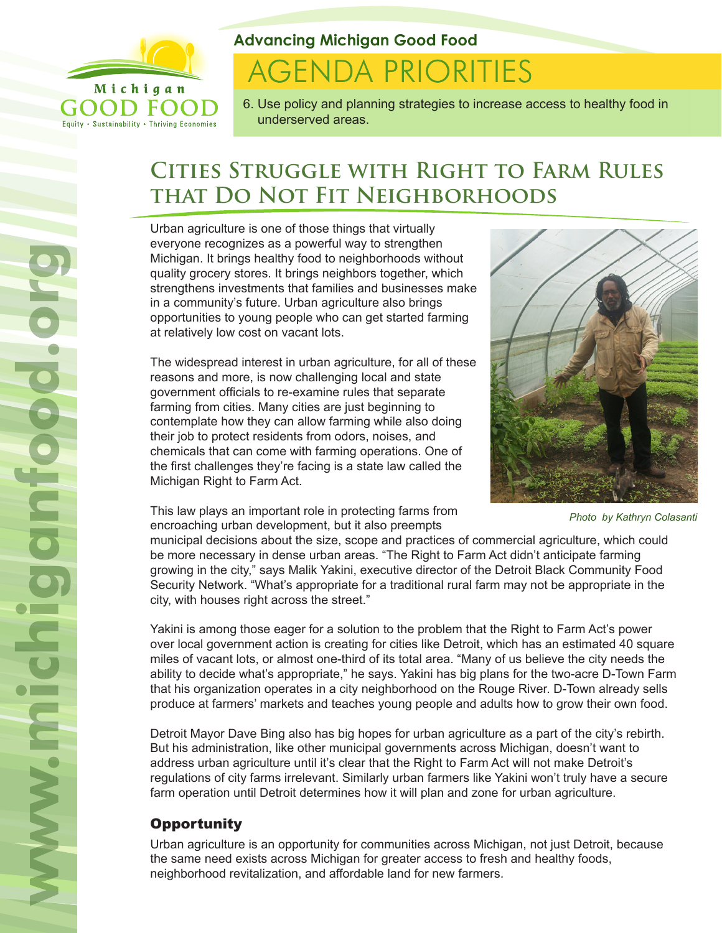

Equity . Sustainability . Thriving Economies

**Advancing Michigan Good Food**

# **AGENDA PRIORITIES**

6. Use policy and planning strategies to increase access to healthy food in underserved areas.

## **Cities Struggle with Right to Farm Rules that Do Not Fit Neighborhoods**

Urban agriculture is one of those things that virtually everyone recognizes as a powerful way to strengthen Michigan. It brings healthy food to neighborhoods without quality grocery stores. It brings neighbors together, which strengthens investments that families and businesses make in a community's future. Urban agriculture also brings opportunities to young people who can get started farming at relatively low cost on vacant lots.

The widespread interest in urban agriculture, for all of these reasons and more, is now challenging local and state government officials to re-examine rules that separate farming from cities. Many cities are just beginning to contemplate how they can allow farming while also doing their job to protect residents from odors, noises, and chemicals that can come with farming operations. One of the first challenges they're facing is a state law called the Michigan Right to Farm Act.



*Photo by Kathryn Colasanti*

This law plays an important role in protecting farms from encroaching urban development, but it also preempts

municipal decisions about the size, scope and practices of commercial agriculture, which could be more necessary in dense urban areas. "The Right to Farm Act didn't anticipate farming growing in the city," says Malik Yakini, executive director of the Detroit Black Community Food Security Network. "What's appropriate for a traditional rural farm may not be appropriate in the city, with houses right across the street."

Yakini is among those eager for a solution to the problem that the Right to Farm Act's power over local government action is creating for cities like Detroit, which has an estimated 40 square miles of vacant lots, or almost one-third of its total area. "Many of us believe the city needs the ability to decide what's appropriate," he says. Yakini has big plans for the two-acre D-Town Farm that his organization operates in a city neighborhood on the Rouge River. D-Town already sells produce at farmers' markets and teaches young people and adults how to grow their own food.

Detroit Mayor Dave Bing also has big hopes for urban agriculture as a part of the city's rebirth. But his administration, like other municipal governments across Michigan, doesn't want to address urban agriculture until it's clear that the Right to Farm Act will not make Detroit's regulations of city farms irrelevant. Similarly urban farmers like Yakini won't truly have a secure farm operation until Detroit determines how it will plan and zone for urban agriculture.

### **Opportunity**

Urban agriculture is an opportunity for communities across Michigan, not just Detroit, because the same need exists across Michigan for greater access to fresh and healthy foods, neighborhood revitalization, and affordable land for new farmers.